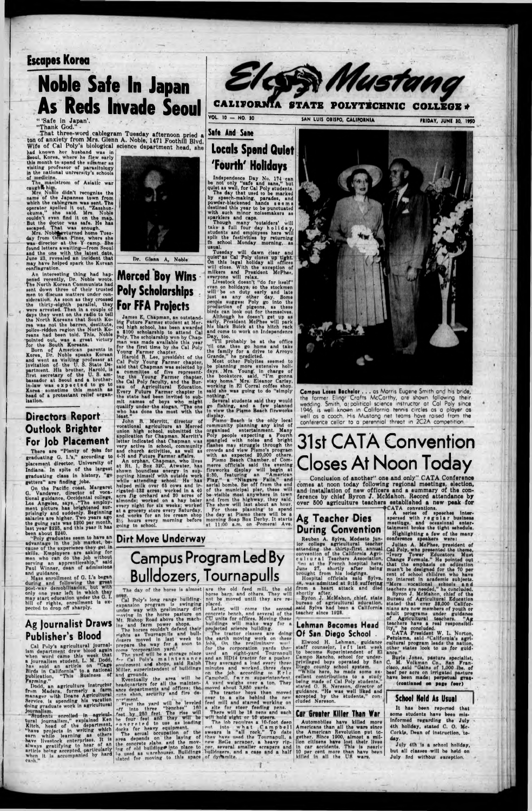## **Escopes Korea**

# **Noble Safe In** Japan **As Reds Invade Seoul**

**" 'Safe in Japan'. "Thank God." •**

**. That three-word cablegram Tuesday afternoon pried a ton of anxiety from Mrs. Glenn A. Noble, 1471 Foothill Blvd Wife of Cal Poly's biological science department head, she**

had known her husband was in Seoul, Korea, where he flew early this month to spend the summer as visiting professor of parasitology<br>in the national university's schools in the national university's schools of medicine.

The. maelstrom of Asiatic war caught him.

Mrs. Nobleweturned home Tuesday from Ocean Pines, where she waa director at the Y camp. She found lettera awaiting—from Seoul and the one with the latest date, June 23, revealed an incident that may have helped apark the Korean conflagration.

An interesting thing had happened recently, Dr. Noble wrote. The North Korean Communists had sent down three of their trusted men to discuss matters under conmen to discuss matters under consideration. As soon as they crossed the thirty-eighth parallel, they were arrested. Then in a couple of days they went on the radio to tell the North Koreans that South Korea was not the barren, destitute, police-ridden region the North Koreans had been told. This, Noble pointed out, was a great victory<br>for the South Koreans.

Mm Nonle didn't recognise the name of the Japanese town from which the cablegram was aent. The operator spelled it out. "Zasshonokuma," ahe said. Mrs. Noble couldn't even And it on the map But the doctor waa aafe. He haa escaped. That waa enough.

There are "Plenty of jobs for graduating Q. I.\*a," according to placement director, University of Indiana. In spite of the largest graduating class In history, "go getters" are finding Jobs.

On the Pacific- coast, Margaret G. Vandever, director of vocational guidance, Occidental college, Los Angeles, says. ."The employment picture has brightened aurprislngly and suddenly. Beginning salaries are higher. Two years ago the going rate was \$200 per month, last year \$225, and this year it has



"Poly graduates seem to have an advantage In the Job market, because of the experience they get In skills. Kmployera are asking for men who can do the Job without serving an apprenticeship, said Paul Winner, aean of admissions and guidance.

and guidance.<br>Mass enrollment of G. I.'s began during and following the great post-war demobilisation, but with only one year left in which they may start education under the G. I. bill of rights, enrollment is expected to drop off sharply.

Cal Poly's agricultural journalism department drew blood again when word came this week that a Journalism student, L.' M. Dodd, has sold an article on "Cage Birds in California" to a national publication, "This Business or

r the South Koreans. Born of American parents in Korea, Dr. Noble speaks Korean and went as visiting professor at invitation of the U. S. State Department. His brother, Harold, is first secretary of the U. S. ambassador at Seoul and a brotherin-law was expected to go to Korea sometime this month as head of a protestant relief organisation.

"Studenta enrolled in agricultural journalism," explalnod Ken Kltch, head of the department, "have projects In writing which earn while learning as others have livestock enterprises. It is always gratifying to hear of an article being accepted, particularly when it is accompanied by nard ca-h."

## Directors Report Outlook Brighter For job Placement

been about \$240.

Independence Day No, 174 can be not only "eafe and sane," but quiet as well, for Cal Poly atudents. The day that used to be marked by speech-making, parades, and powder-blackened hands seems destined this year to be punctuated with such minor noisemakers as sparklers and caps.

## Ag journalist Draws Publisher's Blood

Tuesday will dawn clear and<br>quiet\* as Cal Poly closes up tight. On this legal holiday all offices will close. With the exception of milkers and Prealdent McPhee, everyone will relax.

Livestock doesn't "do for itself" even on holidays, so the stockmen will be on duty early and late Just as any other day. Some people suggest Poly go into the production of pigeons, as these birds can look out for themselves.

Farming," Dodd, an agriculture Instructor from Madera, formerly a farm manager with Doane Agricultural Service, is spending his vacation doing graduate work in agricultural

Most other Polyites seemed to be planning more extensive holidays. Mrs. Young, in charge of the bookstore, said, "I'm gonna stay home." Mrs. Eleanor Carley, working In El Corral coffee shop, said she was going to do "simply nothing."

Several students said they would go fishing, and a few planned to view the Piemo Beach fireworks display.

Pismo Beach is the only local community planning any kind of organised entertainment. Many Poly people expecting a Fourth angled with noise and bright tshes may struggle through the crowds and view Pismo's program with an expected 80,000 others.

Plsmo Beach Chamber of Commerce officials said the evening fireworks display will begin at 8:30, featuring an "American Flag," a "Niagara Falls," and aerial bomba. Set off from the end of the municipal pier, these will be visible most anywhere In town and from the highway, they said. The show will last about an hour. For those planning to spend

Dr. Glenn A, Noble

## **Merced Boy Wins - Poly Scholarships ; For FFA Protects**

James E, Chapman, an outstanding Future Farmer student at Merced high school, has been awarded a \$100 scholarship to attend Cal Poly. The scholarship won by Chapman was made available thia year for the first time by the Cal Poly Young Farmer chapter.

> Compus Loses Bachelor . . . as Morris Eugene Smith and his bride, the former Elinor Crafts McCarthy, are shown following their wedding. Smith, a/ political science instructor ot Col Poly since 1946, is well known in California tennis circles as a player as well os o coach His Mustang net teams hove raised from the conference cellar to o perennial threat in 2C2A competition

rights as Tournapt.lls and bullclosers -moved In last week to prepare the way for a soon to

come 'corporation yard."<br>The yard will be a storage place<br>for Cal Poly'a maintenance eouinment and shops, said Ralph<br>Miller, superintendent of buildings

and grounds.<br>Eventually the area will be<br>headquarters for all the maintenance departmenta and offices; the nuto shon, security and fire de-

nariment.<br>First the yard will be leveled  $n$ ff  $\ln$ to three "benches" 160 reet by 250 feet. The rise will he four feet and they will be<br>concreted to use as loading docks for heavy equipment.<br>The actual occupation of the<br>area depends on the laying of

Harold R. Lee, president of the Cal Poly Young Farmer chapter, said that Chapman was selected by a committee of five representing the Young Farmer chapter, the Cal Poly faculty, and the Bureau of Agricultural Education. Every Future Farmer chapter In the state had been Invited to submit namea of boys who might qualify under the slogan, "The one who haa done the most with the leaat."

the concrete slaha, and the moving of old buildings into place to be used as warehouses. Buildings lated for moving to this apace

John B, Merritt, director of vocational agriculture at Merced union high school, submitted the application for Chapman. Merritt's letter indicated that Chapman was very active In school, community and ehurch activities, as well as 4-H and Future Farmer affaire.

> Later. will come the second concrete bench, and several of the CU units for offices. Moving these buildings will make way for a projected science building.

> The tractor classes are doing the earth moving work on these<br>fohs, On the preliminary work for the corporation yards they used an eight-yard Tournnpull nnd an HD14 tractor for a pusher They averaged a load every three minutes and worked three dav« on the Job. according to Eric Campbell. farm superintendent A vard weighs over a ton. They moved about 3,850 yards.

> The tractor hoya then moved over to a site behind the newfeed mill and ataned working on a alte for steer feeding pens. There will be 18 nens and each will hold eight or 10 ateers.

An orphan, Chapman, who lives at Rt. 1, Box 32C, Atwater, has shown boundless energy in supporting himself with outside work while attending school. He has helped milk over OB cows and irrigated 138 acres; worked in a 40 acre fig orchard and 80 acres of almonds; worked on a hay baler every night for six weeks; worked at a grocery store every Saturday, and works for an ice cream shop 814 hours every morning before going to school.



The lob requires a 10-foot deep<br>cut into what Campbell sweare la "all rock." To date they have used the Tournapull. a new BeGe scraper, a heavy ripner. several smaller scrapers and buildozers, and a case and a half of dyrtamlte.

## **CALIFORNIA STATE POLYTECHNIC COLLEGE** *\**

VOL. 10 — NO. SO SAN LUIS 0IISF0, CALIFORNIA **FRIDAY, JUNI SO, 1950**

Safe And Sane

# **Locals Spend Quiet 'Fourth' Holidays**

conference speakers were:<br>Julian A. McPhee, president of Julian A. McPhee, president of Cal Poly, who presented the theme, "Ivory Tower Educators Must Change Formula." He pointed out that the emphaale on education musnt be designed for the 70 per cent of school children who have no interest In academic subjects. "More vocational schools s n d teschera are needed," he concluded. Byron J. McMahon, chief of the

CATA President W. L. Norton, Petulama, said "California's agricultural program leads the nation, other states look to us for guidance.

Though many 'outsiders' will take a full four day holiday, students and employees hsre will split the festivities by returning *to* school Monday morning, as usual.

> Elwood H. Lehman, guidance staff counselor, left last week to become Huperlntendent of El Pampo Rancho, school for underprivileged boys operated by Han Diego county school aystem. "While here, he made some excellent contributions to a study being made of Cal Poly students," stated O. B. Nereson, director of guidance. "He was well liked and accepted by the students," concluded Nereson.

Although he doesn't get up ae early. President McPhee will park his black Bulck at the hitch rack and come to work on Independence Day. too.

"I'll probably be at the office 'til one. then go home and take the family for a drive to Arroyo Grande," he Dredlcted.

> lion citizens have lost their lives in car accidents. This is nearlv 10 per cent more than have been killed in all the US wara.

July 4th Is a school holiday, but all classes will be held on July 3rd without exception.

the day at Piemo there will be *\$* morning Soap Box Derby. It starts st 11:00 a.m. on Pnmeral Ave.



### Dirt Move Underway

# **Campus Program Led By Bulldozers, Tournapulls**

The day of the horse is almost are the old feed mill, the old

Cal Poly's long range hulldingexpansion program is swinging under way with preliminary dirt moving in the horse pasture on Mt. Bishop Road abovs ths machine and farm power shops. The horses eouldn t defend their horse barp, and othera. They will not be moved until they are re-

placed.

# **31st CATA Convention Closes At Noon Today**

**Concluaion of anothar" ona and only" CATA Conference comes at noon today following regional meetings, election, and installation of new officers and a summary of the conference by chief Byron J. McMahon. Record attendance** by **over S00 agriculture teachers established a now peak for**

Highlighting a faw of the many

Bureau of Agricultural Education stated that over 88,000 Californians are now members of youth or adult programs under guidance of Agricultural teachers. "Ag teschera have a real responsibility," he concluded.

Burls Jones, pasture specialist, C. M, Volkman Co., Han Francisco, .said "Osina of 1,000 lbs. of beef per acre on Irrigated pasture have been made; perpetual gras-

(continued on page four)



CATA conventions. A series of speeches Interspersed with regular business<br>meetings, and occasional entertainment broke the tight schedule.

### During Convention

Reuben A. Sylva, Modesto Junior college agricultural teacher attending the thirty-first annual convention of the California Agricultural Teschera Association, Hen at the French hospital here, June 27, shortly after being brought from his lodgings.

Hospital officials saia Sylva, 48, was admitted at 0:15 suffering from a heart attack and died shortly after.

Byton J. McMahon, chief, state bureau of agricultural education, aaid Sylva had been a California teacher since 1028.

#### Lehman Becomes Head Of San Diego School .

### Car Greater Killer Than War

Automobiles have killed more Americans than all the ware since the American Revolution put together. Since 1000, almost a mil-

### School Held At Usual

It has been reported that aoms students have been misinformed regarding the July 4th holiday, stated C. O. Me-Corkle, Dean of instruction, today.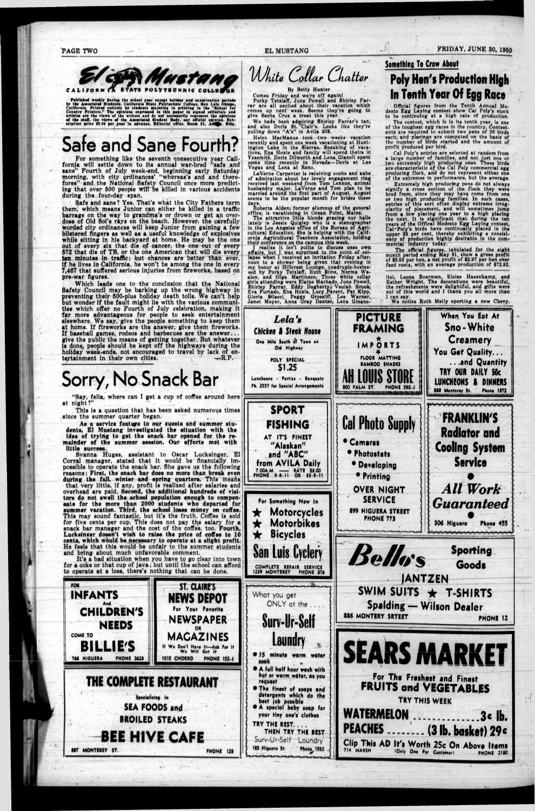**I -**

■ -

## **PAGE TWO**  $\qquad \qquad \qquad$  **EL MUSTANG FRIDAY, JUNE 30, 1950**



Published weekly during the school year except holiday and unmination periods by the Associated Stadents. California State Published California. Printed entirely by state-the majoring in printing in the "School for Commity

For something like the seventh consecutive year Cali**fornia will aettle down to ita annual war-bred "aafe and onne'\* Fourth of July week-end, beginning early Saturday morning, with city qrdinancea' "whereaa'a and and thereforea" and the National Safety Council once more predicting that over 500 people will be killed in varioua accidenta during the four-day span,**

# **Safe and Sane Fourth?**

**Which leada one to the concluaion that the National Safety Council may be barking up the wrong highway in preventing their 500-plus holiday death tolls. We can't help<br>but wonder if the fault might lie with the various communi-<br>ties which offen no Fourth of July selebration, problem is reventing their 500-plua holiday death tolla. We can't help tiea which** *offer* **no Fourth of July celebration, making it far more advantageoua for people to aeek entertainment elsewhere. We say, give the people aomething to keep them at home. If flreworka are the anawer, give them flreworka. give the public the meana of getting together. But whatever ia done,, people ahould be kept off the nighwaya during the holiday week-ends, not encouraged to travel by lack of en**tertainment in their own cities. **-R.P.** 

**Safe and aane? Yea. That'a what the City Fathera term them,' which meana Junior can either be killed in a traffic barrage on the way to grandma'a or drown or get an overdoae of Old Sol'a riya on the beach. However, tne carefully worded city ordinancea will keep Junior from gaining a few bliatered fingers aa well aa a uaeful knowledge of explosives while aitting in hia backyard at home. He may be the one out of every aix that die of cancer, the one out of every 572 that die of TB, or the one American that will die every ten minutea in traffic; but chancea are better than ever, if he livea in California, he won't be among the one in every 7,467 that aufTered aerioua injuriea from flreworka, baaed on pre-war figures.**

Comes Friday and we're off again! Porky Tetalan, June Powell and Shirley Farrar are all excited about their vacation which cornea up next week. Seema they're going to give Santa Crus a treat thia year.

**dents, El Muatang Investigated the situation with the idea of trying to get the snack bar opened for the re-**

**Svanna Hugea, asaiatant to Oscar Lucksinger, El during the fall, winter and spring quarters. Thia meafia that very little, if any, profit is realized after salaries and tors do not swell the school population enough to compensate for the more than 2000 students who departed for for five cents per cup. This doea not pay the salary for a**

*Uhite Collar Chatter* 

I realize it isn't polite to discuss ones own affairs, but I was surprised to the point of collapse when I received an invitation Friday after, noon to a shower being given that evening in my honor at Hillcreat Lounge, quadrupls-hostes sed by Porky Tetslaff, Rutn Sims, Norma Waalen, and Olga Martinson. Those white collar<br>girls attending were Elaine Machado. June Powell, Shirley Farrar, Eddy Dogherty^ Veulah Brook, Eva Furtado, Ena Hoxie, Lucy .Parent, Pat Kipp, Gloria Silacci, Peggy Grossini, Lee Warner, Janet Meyer, Anna Gray Daxtar, Lena Glnano-

By Hotly Hunter

Wo ha4o been admiring Shirley Farrar's tan, and alao Dorla St. Clair's. Looks like they're pulling down "A'a" In Avila 208.

Helen MacManua took two weeks verntion recently and spent one week vacationing at Huntington I.ake In the Sierras. Sneaking of vacations, Ena Hoxie and family will spend theirs in Yosemite. Doris Dilworth and Lena Gianoli spent some time recently in Nevada—Dprla at Las Vegas and Lena at Reno.

LaVerne Carpenter Is receiving ooohs and aahs of admiration about her lovely engagement ring received last weekend from Tom Lennon, animal husbandry major. LaVerne and Tom plan to be married around the first part of August. August seems to be the popular month for Drldes these

ys.<br>Roberta Alden, former alumnus of the general **1s vacationing in Ocean Point, Main** days.<br>| Roberta Alden, former alumnus of the gen<br>of<u>fice,</u> is vacationing in Ocean Point, Maine.

Somethlnq To Crow About

 $\frac{1}{2}$ 

## **Poly Hen's Production High In Tenth Year Of Egg Race**

Official figures from the Tenth Annual Modesto Egg Laying contest show Cal Poly's stock to be continuing at h high rate of production.

The contest, which is in its tenth year, is one of the toughest egg racee in the country. Contestants are required to submit two pens of 26 birds each, and placings are computed on the basia of the number of birds started and the amount of profit produced per bird. , i and the set of the set of the set of the set of the set of the set of the set of the set of the set of the set of the set of the set of the set of the set of the set of the set of the set of t

The attractive little blonde gracing our halls lately la Jessie Quigley who is a stenographer in the Los Angeles office of the Bureau of Agriwho in the Los Angeles office of the Bureau of Agri-<br>cultural Education. She is helping with the Californlg Agricultural Teachers Association, holding their conference on the campua thia waak.

Cal Poly'a entries are selected at random from a large number of familioe. and not Just one or two extremely high producing ones. These birds are characteristic of the Cal Poly commercial egg producing flock, and do not represent either one pf the extremes In performance, but the average.

Extremely high producing pens do not always signify a cross section of the flock they were bred from, since they may havg come from one or two high producing families. In such cases, entries of this sort often display extreme irregularity of placement, and will sometimea jump from a low placing ona year to a high the next. It ia significant that during year to a high placing is significant that during the ten years of ths Offlcal Modesto Egg Laying contest, Cal-Poly's birds have continually placed in the upper 25 per cont, thereby exhibiting a consistency of production highly desirable in the commercial Industry today.

The official figures, tabulated for the eight<br>month period ending May 31, show a gross profit of \$5.8S per hen, a net profit of \$2.97 per hen over feed costs, with an average production of \$72.92.

Ilnl. Leona Boerman, Elolae Hasenkamp, and Esther Wright, The decorations were beautiful, the refreshments were delightful, and gifts were out of thia world and 1 thank you all more than

I can say.<br>We notice Ruth Meily sporting a new Chevy.



Although the second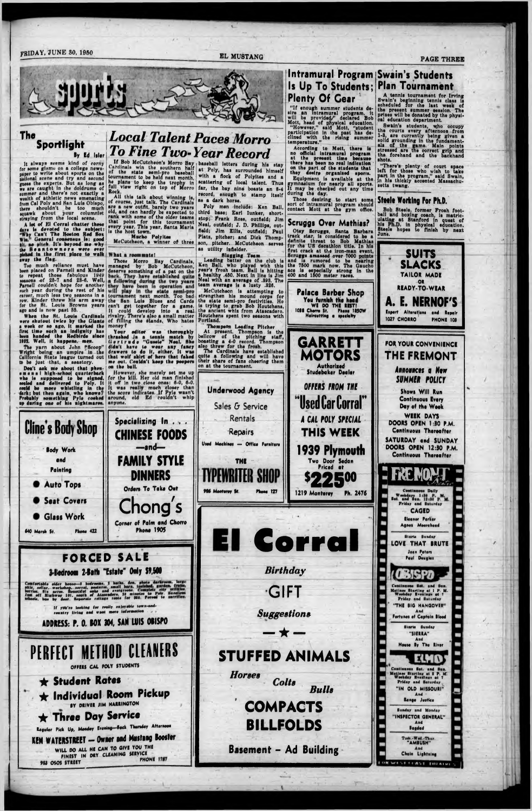## **FRIDAY, JUNE 30, 1950 EL MUSTANG PAGE THREE**



#### The **Sportlight By Ed lilor**

It alwaye seems kind of corny for some gismo on a college newspaper to write about aporta on the patlonal ace no and try and aecond guess the experts. But as long as we are caught in ihe doldruma of summer and there's not exactly a wealth of athletic newa emanating from Cal Poly and Han Lula Oblapo, there shouldn't be too much iquawk about your columniet •traying from the local acene.

A lot of El Corral chatter these days is devoted to the subject! "Why Can't The Hoeton Red Box Win. General ronaenaua la: good

All thin talk about winning la, of courae, juat talk. The Cardinals are a new outfit, barely two yeara old, and can hardly be expected to rank with aome of the older teama that point for this tournament every year. This year, Santa Maria<br>is the host town.

flrat time auch an indignity haa

The yarn about John F'Scoop" Wright being an umpire' in the California State league turned out

*Local Talent Paces Morro*

*To Fine Two- Year Record* If Bob McCutcheon's Morro Bay baseball letters during his stay Cardlnale win the aouthern half of the etate aemi-pro baaeball tournament to be held next month, he Plana to keep the trophy In full view right on top of Morro Rock.

> Poly men include) Ken Ball, third base; Earl lunker, shortstop; Frank Ross, outfield; Jim Neal, outfield; J. D. Phillips, outfield; Jim Ellis, outfield; Paul Plats, pitcher; and Dick Thomp-

Mueho Polyitea

' Thompson Leading Pitcher At present, Thompson la the bellcow of the pitching ataff, boasting a 4-0 record. Thompson also threw for the frosh.

bliah ' ng the Stands, Who hatea rivalry, of fill!

A tennis tournament for Irving<br>Swain's beginning tennis class is swain's beginning tennis class is<br>acheduled for the last week of the present summer session. The prises will be donated by the physical education department.

"There's plenty of court apace left for those who wish to take part In the program,'' said Swain, in hie thickly accented Maeaachusetts twang.

at Poly, has surrounded himself with a flock of Polyitea and a scattering of local talent. Thus far, the bay nine boasts an 8-4 record, enough to stamp Itself as a dark horie.

## Intramural Program Swain's Students Is Up To Students; Plan Tournament Plenty Of Gear

"If enough summer students desire an Intramural program, it will be provided/' declared Bob Mott, head of physical education. "However,'' aald Mott, "student participation In the past haa declined with the rising summer temperature."

According to Mott, there Ie no official Intramural program at the present time because there has been no real Indication ' on the part of the students that they desire organlaed sports. Equipment is available at the gymnasium for nearly all aporta.

It may be checked out any time during the day. Those dealring to itart aome

sort of Intramural program should contact Mott at the gym office.

Scruggs Over Mathias?

Otey Scruggs, Santa Barbara track star, la considered to be a for the US decathlon title. In hia Scruggs amassed over 7000 points the 7500 mark now. The Oaucho



Swain's students, who occupy the courts every afternoon from 1-8, are currently being given a solid grounding in the fundamentals of the game. Main polnta atressed are the correct grip and tha forehand and the backhand ■hots.

#### Steele Working For PH.D.

Bob Steele, former Froah foot-<br>ball and boxing coach, is matric-<br>ulating at Stanford in quest of his Ph.D. in physical education.<br>Steele hopes to finish by next



**t ;**

**1**